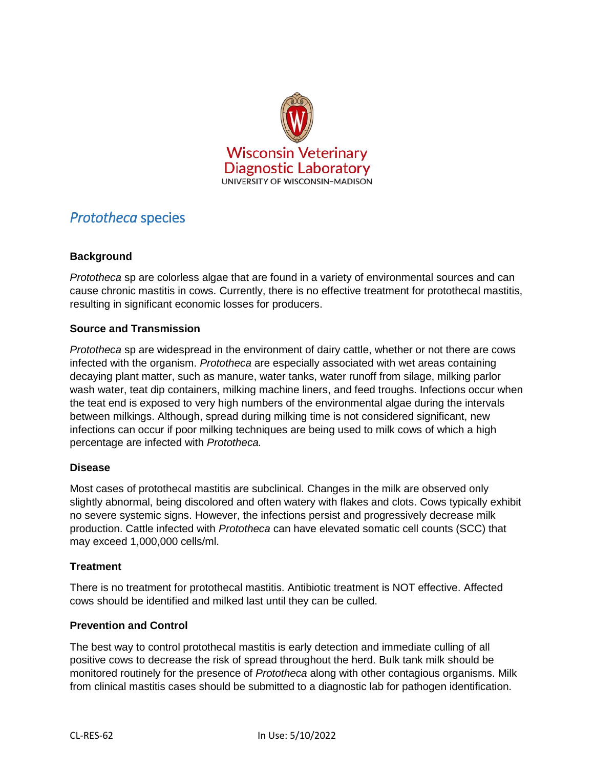

# *Prototheca* species

## **Background**

*Prototheca* sp are colorless algae that are found in a variety of environmental sources and can cause chronic mastitis in cows. Currently, there is no effective treatment for protothecal mastitis, resulting in significant economic losses for producers.

#### **Source and Transmission**

*Prototheca* sp are widespread in the environment of dairy cattle, whether or not there are cows infected with the organism. *Prototheca* are especially associated with wet areas containing decaying plant matter, such as manure, water tanks, water runoff from silage, milking parlor wash water, teat dip containers, milking machine liners, and feed troughs. Infections occur when the teat end is exposed to very high numbers of the environmental algae during the intervals between milkings. Although, spread during milking time is not considered significant, new infections can occur if poor milking techniques are being used to milk cows of which a high percentage are infected with *Prototheca.*

#### **Disease**

Most cases of protothecal mastitis are subclinical. Changes in the milk are observed only slightly abnormal, being discolored and often watery with flakes and clots. Cows typically exhibit no severe systemic signs. However, the infections persist and progressively decrease milk production. Cattle infected with *Prototheca* can have elevated somatic cell counts (SCC) that may exceed 1,000,000 cells/ml.

#### **Treatment**

There is no treatment for protothecal mastitis. Antibiotic treatment is NOT effective. Affected cows should be identified and milked last until they can be culled.

#### **Prevention and Control**

The best way to control protothecal mastitis is early detection and immediate culling of all positive cows to decrease the risk of spread throughout the herd. Bulk tank milk should be monitored routinely for the presence of *Prototheca* along with other contagious organisms. Milk from clinical mastitis cases should be submitted to a diagnostic lab for pathogen identification.